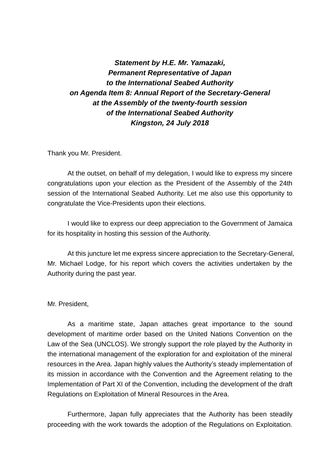*Statement by H.E. Mr. Yamazaki, Permanent Representative of Japan to the International Seabed Authority on Agenda Item 8: Annual Report of the Secretary-General at the Assembly of the twenty-fourth session of the International Seabed Authority Kingston, 24 July 2018*

Thank you Mr. President.

At the outset, on behalf of my delegation, I would like to express my sincere congratulations upon your election as the President of the Assembly of the 24th session of the International Seabed Authority. Let me also use this opportunity to congratulate the Vice-Presidents upon their elections.

I would like to express our deep appreciation to the Government of Jamaica for its hospitality in hosting this session of the Authority.

At this juncture let me express sincere appreciation to the Secretary-General, Mr. Michael Lodge, for his report which covers the activities undertaken by the Authority during the past year.

Mr. President,

As a maritime state, Japan attaches great importance to the sound development of maritime order based on the United Nations Convention on the Law of the Sea (UNCLOS). We strongly support the role played by the Authority in the international management of the exploration for and exploitation of the mineral resources in the Area. Japan highly values the Authority's steady implementation of its mission in accordance with the Convention and the Agreement relating to the Implementation of Part XI of the Convention, including the development of the draft Regulations on Exploitation of Mineral Resources in the Area.

Furthermore, Japan fully appreciates that the Authority has been steadily proceeding with the work towards the adoption of the Regulations on Exploitation.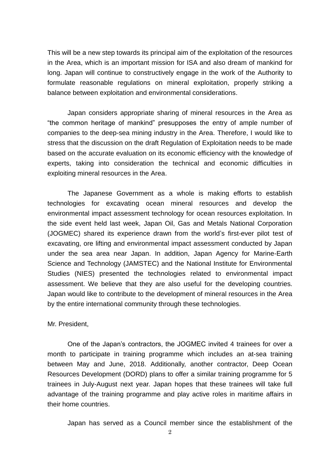This will be a new step towards its principal aim of the exploitation of the resources in the Area, which is an important mission for ISA and also dream of mankind for long. Japan will continue to constructively engage in the work of the Authority to formulate reasonable regulations on mineral exploitation, properly striking a balance between exploitation and environmental considerations.

Japan considers appropriate sharing of mineral resources in the Area as "the common heritage of mankind" presupposes the entry of ample number of companies to the deep-sea mining industry in the Area. Therefore, I would like to stress that the discussion on the draft Regulation of Exploitation needs to be made based on the accurate evaluation on its economic efficiency with the knowledge of experts, taking into consideration the technical and economic difficulties in exploiting mineral resources in the Area.

The Japanese Government as a whole is making efforts to establish technologies for excavating ocean mineral resources and develop the environmental impact assessment technology for ocean resources exploitation. In the side event held last week, Japan Oil, Gas and Metals National Corporation (JOGMEC) shared its experience drawn from the world's first-ever pilot test of excavating, ore lifting and environmental impact assessment conducted by Japan under the sea area near Japan. In addition, Japan Agency for Marine-Earth Science and Technology (JAMSTEC) and the National Institute for Environmental Studies (NIES) presented the technologies related to environmental impact assessment. We believe that they are also useful for the developing countries. Japan would like to contribute to the development of mineral resources in the Area by the entire international community through these technologies.

Mr. President,

 One of the Japan's contractors, the JOGMEC invited 4 trainees for over a month to participate in training programme which includes an at-sea training between May and June, 2018. Additionally, another contractor, Deep Ocean Resources Development (DORD) plans to offer a similar training programme for 5 trainees in July-August next year. Japan hopes that these trainees will take full advantage of the training programme and play active roles in maritime affairs in their home countries.

Japan has served as a Council member since the establishment of the